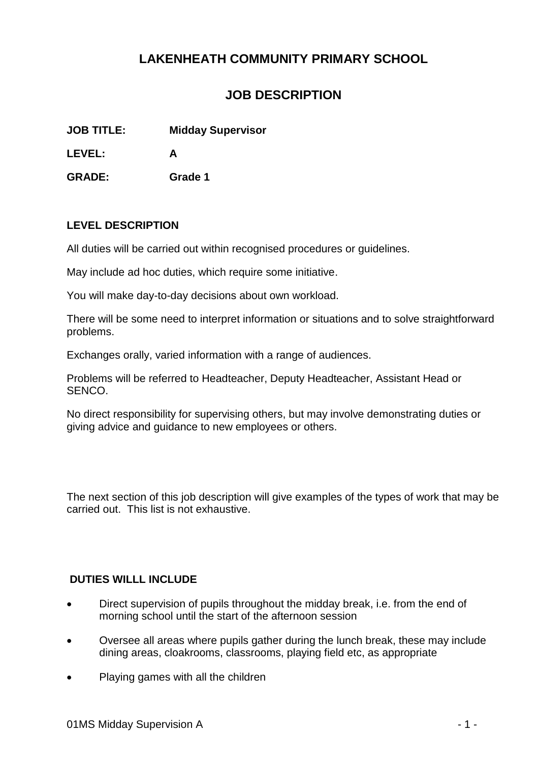# **LAKENHEATH COMMUNITY PRIMARY SCHOOL**

## **JOB DESCRIPTION**

**JOB TITLE: Midday Supervisor**

**LEVEL: A**

**GRADE: Grade 1**

#### **LEVEL DESCRIPTION**

All duties will be carried out within recognised procedures or guidelines.

May include ad hoc duties, which require some initiative.

You will make day-to-day decisions about own workload.

There will be some need to interpret information or situations and to solve straightforward problems.

Exchanges orally, varied information with a range of audiences.

Problems will be referred to Headteacher, Deputy Headteacher, Assistant Head or SENCO.

No direct responsibility for supervising others, but may involve demonstrating duties or giving advice and guidance to new employees or others.

The next section of this job description will give examples of the types of work that may be carried out. This list is not exhaustive.

#### **DUTIES WILLL INCLUDE**

- Direct supervision of pupils throughout the midday break, i.e. from the end of morning school until the start of the afternoon session
- Oversee all areas where pupils gather during the lunch break, these may include dining areas, cloakrooms, classrooms, playing field etc, as appropriate
- Playing games with all the children